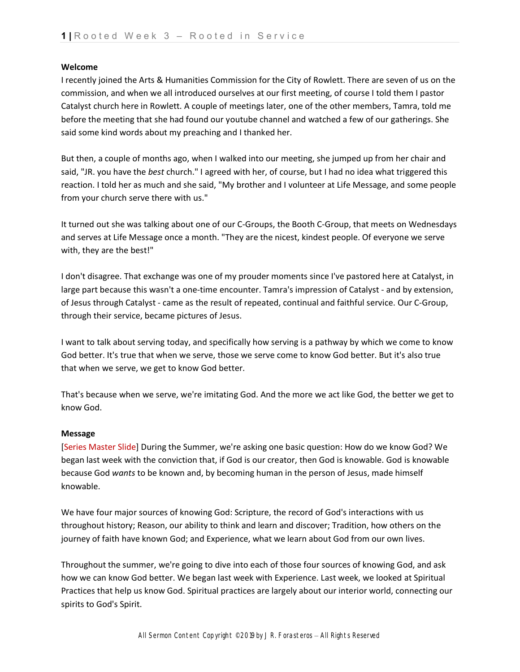## **Welcome**

I recently joined the Arts & Humanities Commission for the City of Rowlett. There are seven of us on the commission, and when we all introduced ourselves at our first meeting, of course I told them I pastor Catalyst church here in Rowlett. A couple of meetings later, one of the other members, Tamra, told me before the meeting that she had found our youtube channel and watched a few of our gatherings. She said some kind words about my preaching and I thanked her.

But then, a couple of months ago, when I walked into our meeting, she jumped up from her chair and said, "JR. you have the *best* church." I agreed with her, of course, but I had no idea what triggered this reaction. I told her as much and she said, "My brother and I volunteer at Life Message, and some people from your church serve there with us."

It turned out she was talking about one of our C-Groups, the Booth C-Group, that meets on Wednesdays and serves at Life Message once a month. "They are the nicest, kindest people. Of everyone we serve with, they are the best!"

I don't disagree. That exchange was one of my prouder moments since I've pastored here at Catalyst, in large part because this wasn't a one-time encounter. Tamra's impression of Catalyst - and by extension, of Jesus through Catalyst - came as the result of repeated, continual and faithful service. Our C-Group, through their service, became pictures of Jesus.

I want to talk about serving today, and specifically how serving is a pathway by which we come to know God better. It's true that when we serve, those we serve come to know God better. But it's also true that when we serve, we get to know God better.

That's because when we serve, we're imitating God. And the more we act like God, the better we get to know God.

## **Message**

[Series Master Slide] During the Summer, we're asking one basic question: How do we know God? We began last week with the conviction that, if God is our creator, then God is knowable. God is knowable because God *wants* to be known and, by becoming human in the person of Jesus, made himself knowable.

We have four major sources of knowing God: Scripture, the record of God's interactions with us throughout history; Reason, our ability to think and learn and discover; Tradition, how others on the journey of faith have known God; and Experience, what we learn about God from our own lives.

Throughout the summer, we're going to dive into each of those four sources of knowing God, and ask how we can know God better. We began last week with Experience. Last week, we looked at Spiritual Practices that help us know God. Spiritual practices are largely about our interior world, connecting our spirits to God's Spirit.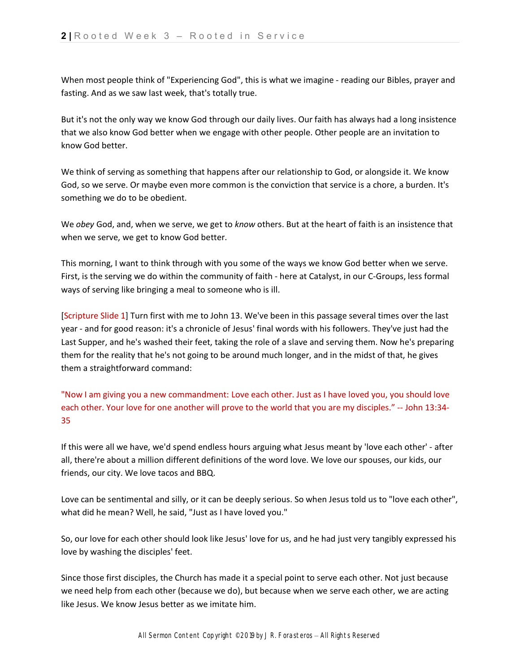When most people think of "Experiencing God", this is what we imagine - reading our Bibles, prayer and fasting. And as we saw last week, that's totally true.

But it's not the only way we know God through our daily lives. Our faith has always had a long insistence that we also know God better when we engage with other people. Other people are an invitation to know God better.

We think of serving as something that happens after our relationship to God, or alongside it. We know God, so we serve. Or maybe even more common is the conviction that service is a chore, a burden. It's something we do to be obedient.

We *obey* God, and, when we serve, we get to *know* others. But at the heart of faith is an insistence that when we serve, we get to know God better.

This morning, I want to think through with you some of the ways we know God better when we serve. First, is the serving we do within the community of faith - here at Catalyst, in our C-Groups, less formal ways of serving like bringing a meal to someone who is ill.

[Scripture Slide 1] Turn first with me to John 13. We've been in this passage several times over the last year - and for good reason: it's a chronicle of Jesus' final words with his followers. They've just had the Last Supper, and he's washed their feet, taking the role of a slave and serving them. Now he's preparing them for the reality that he's not going to be around much longer, and in the midst of that, he gives them a straightforward command:

"Now I am giving you a new commandment: Love each other. Just as I have loved you, you should love each other. Your love for one another will prove to the world that you are my disciples." -- John 13:34- 35

If this were all we have, we'd spend endless hours arguing what Jesus meant by 'love each other' - after all, there're about a million different definitions of the word love. We love our spouses, our kids, our friends, our city. We love tacos and BBQ.

Love can be sentimental and silly, or it can be deeply serious. So when Jesus told us to "love each other", what did he mean? Well, he said, "Just as I have loved you."

So, our love for each other should look like Jesus' love for us, and he had just very tangibly expressed his love by washing the disciples' feet.

Since those first disciples, the Church has made it a special point to serve each other. Not just because we need help from each other (because we do), but because when we serve each other, we are acting like Jesus. We know Jesus better as we imitate him.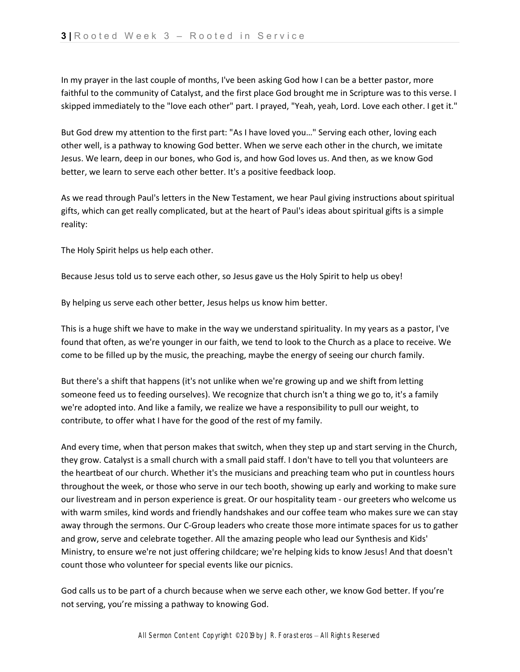In my prayer in the last couple of months, I've been asking God how I can be a better pastor, more faithful to the community of Catalyst, and the first place God brought me in Scripture was to this verse. I skipped immediately to the "love each other" part. I prayed, "Yeah, yeah, Lord. Love each other. I get it."

But God drew my attention to the first part: "As I have loved you…" Serving each other, loving each other well, is a pathway to knowing God better. When we serve each other in the church, we imitate Jesus. We learn, deep in our bones, who God is, and how God loves us. And then, as we know God better, we learn to serve each other better. It's a positive feedback loop.

As we read through Paul's letters in the New Testament, we hear Paul giving instructions about spiritual gifts, which can get really complicated, but at the heart of Paul's ideas about spiritual gifts is a simple reality:

The Holy Spirit helps us help each other.

Because Jesus told us to serve each other, so Jesus gave us the Holy Spirit to help us obey!

By helping us serve each other better, Jesus helps us know him better.

This is a huge shift we have to make in the way we understand spirituality. In my years as a pastor, I've found that often, as we're younger in our faith, we tend to look to the Church as a place to receive. We come to be filled up by the music, the preaching, maybe the energy of seeing our church family.

But there's a shift that happens (it's not unlike when we're growing up and we shift from letting someone feed us to feeding ourselves). We recognize that church isn't a thing we go to, it's a family we're adopted into. And like a family, we realize we have a responsibility to pull our weight, to contribute, to offer what I have for the good of the rest of my family.

And every time, when that person makes that switch, when they step up and start serving in the Church, they grow. Catalyst is a small church with a small paid staff. I don't have to tell you that volunteers are the heartbeat of our church. Whether it's the musicians and preaching team who put in countless hours throughout the week, or those who serve in our tech booth, showing up early and working to make sure our livestream and in person experience is great. Or our hospitality team - our greeters who welcome us with warm smiles, kind words and friendly handshakes and our coffee team who makes sure we can stay away through the sermons. Our C-Group leaders who create those more intimate spaces for us to gather and grow, serve and celebrate together. All the amazing people who lead our Synthesis and Kids' Ministry, to ensure we're not just offering childcare; we're helping kids to know Jesus! And that doesn't count those who volunteer for special events like our picnics.

God calls us to be part of a church because when we serve each other, we know God better. If you're not serving, you're missing a pathway to knowing God.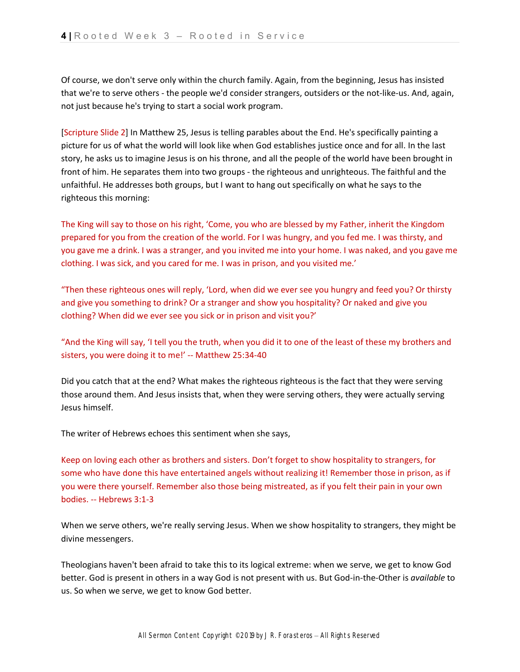Of course, we don't serve only within the church family. Again, from the beginning, Jesus has insisted that we're to serve others - the people we'd consider strangers, outsiders or the not-like-us. And, again, not just because he's trying to start a social work program.

[Scripture Slide 2] In Matthew 25, Jesus is telling parables about the End. He's specifically painting a picture for us of what the world will look like when God establishes justice once and for all. In the last story, he asks us to imagine Jesus is on his throne, and all the people of the world have been brought in front of him. He separates them into two groups - the righteous and unrighteous. The faithful and the unfaithful. He addresses both groups, but I want to hang out specifically on what he says to the righteous this morning:

The King will say to those on his right, 'Come, you who are blessed by my Father, inherit the Kingdom prepared for you from the creation of the world. For I was hungry, and you fed me. I was thirsty, and you gave me a drink. I was a stranger, and you invited me into your home. I was naked, and you gave me clothing. I was sick, and you cared for me. I was in prison, and you visited me.'

"Then these righteous ones will reply, 'Lord, when did we ever see you hungry and feed you? Or thirsty and give you something to drink? Or a stranger and show you hospitality? Or naked and give you clothing? When did we ever see you sick or in prison and visit you?'

"And the King will say, 'I tell you the truth, when you did it to one of the least of these my brothers and sisters, you were doing it to me!' -- Matthew 25:34-40

Did you catch that at the end? What makes the righteous righteous is the fact that they were serving those around them. And Jesus insists that, when they were serving others, they were actually serving Jesus himself.

The writer of Hebrews echoes this sentiment when she says,

Keep on loving each other as brothers and sisters. Don't forget to show hospitality to strangers, for some who have done this have entertained angels without realizing it! Remember those in prison, as if you were there yourself. Remember also those being mistreated, as if you felt their pain in your own bodies. -- Hebrews 3:1-3

When we serve others, we're really serving Jesus. When we show hospitality to strangers, they might be divine messengers.

Theologians haven't been afraid to take this to its logical extreme: when we serve, we get to know God better. God is present in others in a way God is not present with us. But God-in-the-Other is *available* to us. So when we serve, we get to know God better.